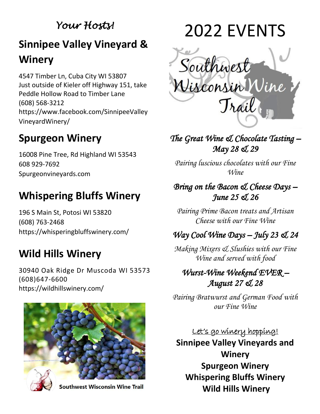### *Your Hosts!*

## **Sinnipee Valley Vineyard & Winery**

4547 Timber Ln, Cuba City WI 53807 Just outside of Kieler off Highway 151, take Peddle Hollow Road to Timber Lane (608) 568-3212 [https://www.facebook.com/SinnipeeValley](https://www.facebook.com/SinnipeeValleyVineyardWinery/) [VineyardWinery/](https://www.facebook.com/SinnipeeValleyVineyardWinery/)

## **Spurgeon Winery**

16008 Pine Tree, Rd Highland WI 53543 608 929-7692 Spurgeonvineyards.com

## **Whispering Bluffs Winery**

196 S Main St, Potosi WI 53820 [\(608\) 763-2468](https://www.google.com/search?gs_ssp=eJzj4tFP1zc0MjNOKajISTJgtFI1qLAwT0tOMTBNTDFKTTI3SrW0MqhISTQ1M0g2SgZKmRqYpJl6SZRnZBYXpBZl5qUrJOWUpqUVK5Rn5qUWVQIAoR0ZBQ&q=whispering+bluffs+winery&rlz=1C1GGRV_enUS751US751&oq=whispering+blu&aqs=chrome.1.0i355i512j46i175i199i512j69i57j0i512l6j46i512.6955j0j4&sourceid=chrome&ie=UTF-8) <https://whisperingbluffswinery.com/>

## **Wild Hills Winery**

30940 Oak Ridge Dr Muscoda WI 53573 (608)647-6600 <https://wildhillswinery.com/>



**Southwest Wisconsin Wine Trail** 





### *The Great Wine & Chocolate Tasting – May 28 & 29*

*Pairing luscious chocolates with our Fine Wine*

#### *Bring on the Bacon & Cheese Days – June 25 & 26*

*Pairing Prime Bacon treats and Artisan Cheese with our Fine Wine*

### *Way Cool Wine Days – July 23 & 24*

*Making Mixers & Slushies with our Fine Wine and served with food*

### *Wurst-Wine Weekend EVER – August 27 & 28*

*Pairing Bratwurst and German Food with our Fine Wine*

Let's go winery hopping! **Sinnipee Valley Vineyards and Winery Spurgeon Winery Whispering Bluffs Winery Wild Hills Winery**